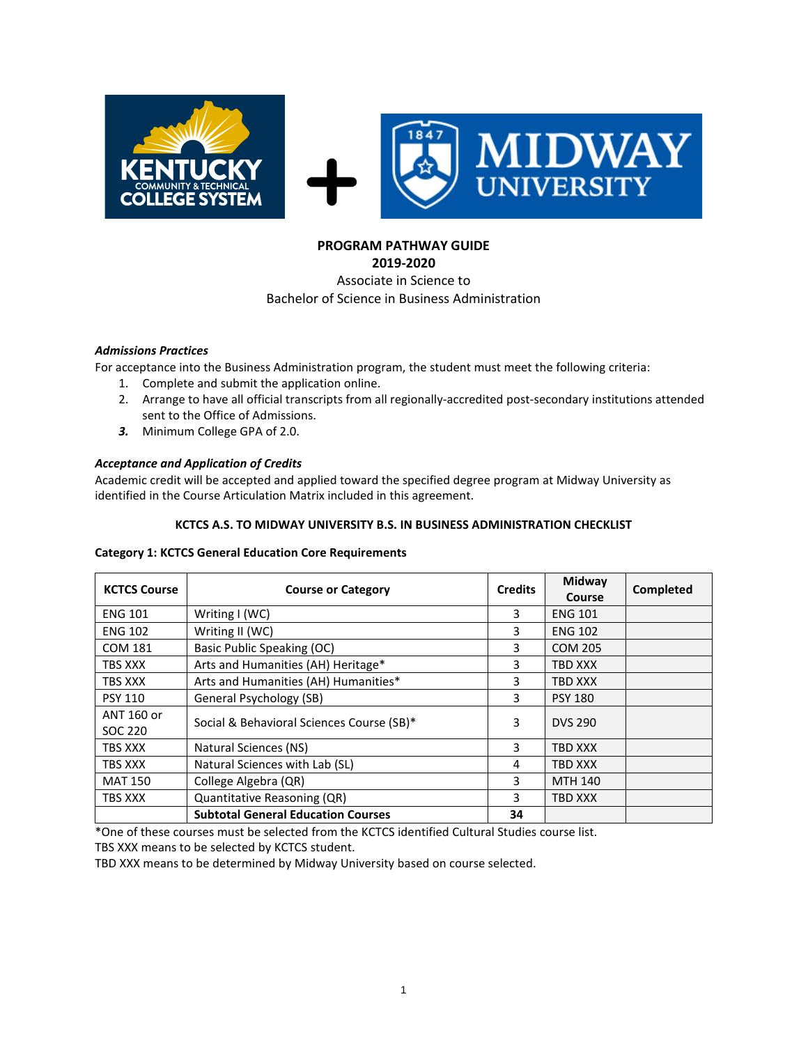

# **PROGRAM PATHWAY GUIDE**

**2019-2020** Associate in Science to Bachelor of Science in Business Administration

## *Admissions Practices*

For acceptance into the Business Administration program, the student must meet the following criteria:

- 1. Complete and submit the application online.
- 2. Arrange to have all official transcripts from all regionally-accredited post-secondary institutions attended sent to the Office of Admissions.
- *3.* Minimum College GPA of 2.0.

## *Acceptance and Application of Credits*

Academic credit will be accepted and applied toward the specified degree program at Midway University as identified in the Course Articulation Matrix included in this agreement.

#### **KCTCS A.S. TO MIDWAY UNIVERSITY B.S. IN BUSINESS ADMINISTRATION CHECKLIST**

#### **Category 1: KCTCS General Education Core Requirements**

| <b>KCTCS Course</b>   | <b>Course or Category</b>                 | <b>Credits</b> | Midway<br>Course | Completed |
|-----------------------|-------------------------------------------|----------------|------------------|-----------|
| <b>ENG 101</b>        | Writing $I(WC)$                           | 3              | <b>ENG 101</b>   |           |
| <b>ENG 102</b>        | Writing II (WC)                           | 3              | <b>ENG 102</b>   |           |
| <b>COM 181</b>        | Basic Public Speaking (OC)                | 3              | <b>COM 205</b>   |           |
| TBS XXX               | Arts and Humanities (AH) Heritage*        | 3              | <b>TBD XXX</b>   |           |
| TBS XXX               | Arts and Humanities (AH) Humanities*      |                | <b>TBD XXX</b>   |           |
| <b>PSY 110</b>        | General Psychology (SB)                   |                | <b>PSY 180</b>   |           |
| ANT 160 or<br>SOC 220 | Social & Behavioral Sciences Course (SB)* |                | <b>DVS 290</b>   |           |
| TBS XXX               | Natural Sciences (NS)                     | 3              | TBD XXX          |           |
| TBS XXX               | Natural Sciences with Lab (SL)            | 4              | <b>TBD XXX</b>   |           |
| <b>MAT 150</b>        | College Algebra (QR)                      | 3              | <b>MTH 140</b>   |           |
| TBS XXX               | Quantitative Reasoning (QR)               | 3              | <b>TBD XXX</b>   |           |
|                       | <b>Subtotal General Education Courses</b> | 34             |                  |           |

\*One of these courses must be selected from the KCTCS identified Cultural Studies course list.

TBS XXX means to be selected by KCTCS student.

TBD XXX means to be determined by Midway University based on course selected.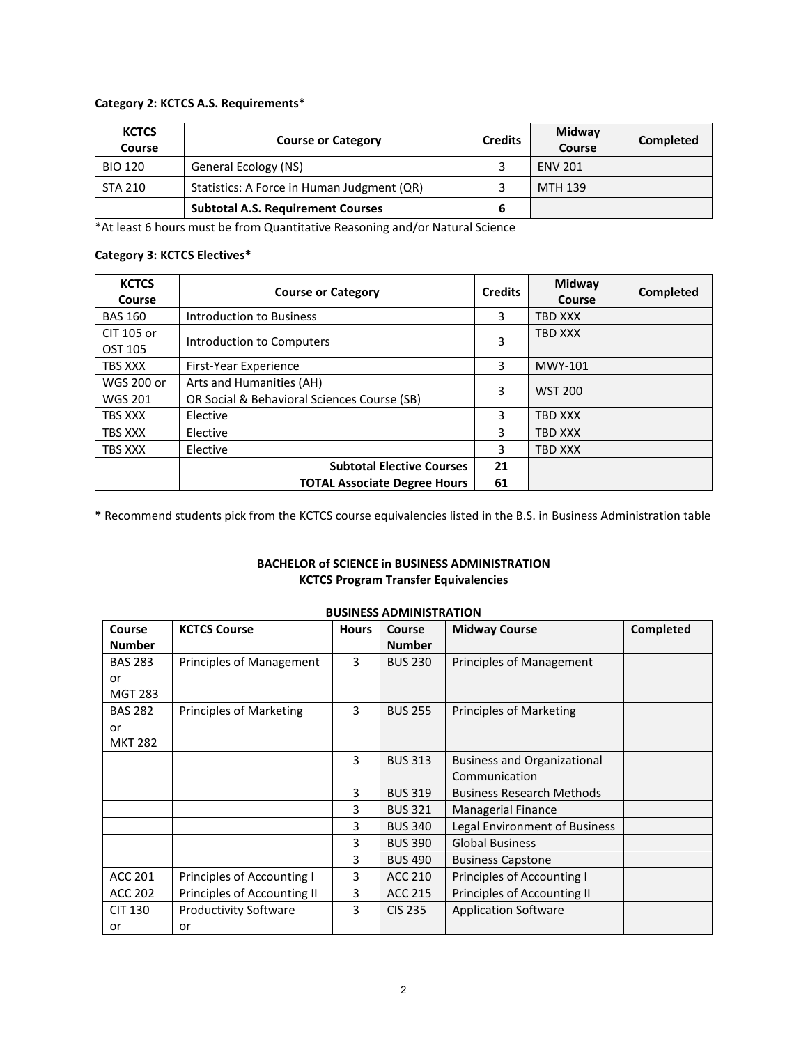#### **Category 2: KCTCS A.S. Requirements\***

| <b>KCTCS</b><br>Course | <b>Course or Category</b>                  |   | Midway<br>Course | Completed |
|------------------------|--------------------------------------------|---|------------------|-----------|
| <b>BIO 120</b>         | General Ecology (NS)                       |   | <b>ENV 201</b>   |           |
| <b>STA 210</b>         | Statistics: A Force in Human Judgment (QR) |   | MTH 139          |           |
|                        | <b>Subtotal A.S. Requirement Courses</b>   | b |                  |           |

\*At least 6 hours must be from Quantitative Reasoning and/or Natural Science

## **Category 3: KCTCS Electives\***

| <b>KCTCS</b><br>Course              | <b>Course or Category</b>                                               | <b>Credits</b> | Midway<br>Course | Completed |
|-------------------------------------|-------------------------------------------------------------------------|----------------|------------------|-----------|
| <b>BAS 160</b>                      | Introduction to Business                                                | 3              | <b>TBD XXX</b>   |           |
| CIT 105 or<br>OST 105               | Introduction to Computers                                               |                | <b>TBD XXX</b>   |           |
| TBS XXX                             | First-Year Experience                                                   |                | <b>MWY-101</b>   |           |
| <b>WGS 200 or</b><br><b>WGS 201</b> | Arts and Humanities (AH)<br>OR Social & Behavioral Sciences Course (SB) | 3              | <b>WST 200</b>   |           |
| <b>TBS XXX</b>                      | Elective                                                                | 3              | <b>TBD XXX</b>   |           |
| TBS XXX                             | Elective                                                                | 3              | <b>TBD XXX</b>   |           |
| TBS XXX                             | Elective                                                                |                | TBD XXX          |           |
|                                     | <b>Subtotal Elective Courses</b>                                        | 21             |                  |           |
|                                     | <b>TOTAL Associate Degree Hours</b>                                     | 61             |                  |           |

**\*** Recommend students pick from the KCTCS course equivalencies listed in the B.S. in Business Administration table

## **BACHELOR of SCIENCE in BUSINESS ADMINISTRATION KCTCS Program Transfer Equivalencies**

| Course         | <b>KCTCS Course</b>            | <b>Hours</b> | Course         | <b>Midway Course</b>               | Completed |
|----------------|--------------------------------|--------------|----------------|------------------------------------|-----------|
| <b>Number</b>  |                                |              | <b>Number</b>  |                                    |           |
| <b>BAS 283</b> | Principles of Management       | 3            | <b>BUS 230</b> | Principles of Management           |           |
| or             |                                |              |                |                                    |           |
| <b>MGT 283</b> |                                |              |                |                                    |           |
| <b>BAS 282</b> | <b>Principles of Marketing</b> | 3            | <b>BUS 255</b> | <b>Principles of Marketing</b>     |           |
| or             |                                |              |                |                                    |           |
| <b>MKT 282</b> |                                |              |                |                                    |           |
|                |                                | 3            | <b>BUS 313</b> | <b>Business and Organizational</b> |           |
|                |                                |              |                | Communication                      |           |
|                |                                | 3            | <b>BUS 319</b> | <b>Business Research Methods</b>   |           |
|                |                                | 3            | <b>BUS 321</b> | <b>Managerial Finance</b>          |           |
|                |                                | 3            | <b>BUS 340</b> | Legal Environment of Business      |           |
|                |                                | 3            | <b>BUS 390</b> | <b>Global Business</b>             |           |
|                |                                | 3            | <b>BUS 490</b> | <b>Business Capstone</b>           |           |
| <b>ACC 201</b> | Principles of Accounting I     | 3            | ACC 210        | Principles of Accounting I         |           |
| <b>ACC 202</b> | Principles of Accounting II    | 3            | ACC 215        | Principles of Accounting II        |           |
| <b>CIT 130</b> | <b>Productivity Software</b>   | 3            | <b>CIS 235</b> | <b>Application Software</b>        |           |
| or             | or                             |              |                |                                    |           |